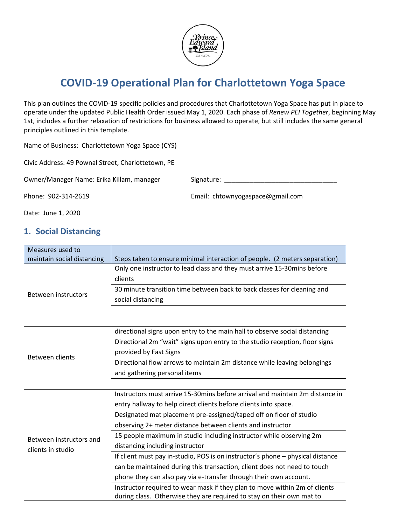

# **COVID-19 Operational Plan for Charlottetown Yoga Space**

This plan outlines the COVID-19 specific policies and procedures that Charlottetown Yoga Space has put in place to operate under the updated Public Health Order issued May 1, 2020. Each phase of *Renew PEI Together*, beginning May 1st, includes a further relaxation of restrictions for business allowed to operate, but still includes the same general principles outlined in this template.

Name of Business: Charlottetown Yoga Space (CYS)

Civic Address: 49 Pownal Street, Charlottetown, PE

Owner/Manager Name: Erika Killam, manager Signature: \_\_\_\_\_\_\_\_\_\_\_\_\_\_\_\_\_\_\_\_\_\_\_\_\_\_\_

Phone: 902-314-2619 Email: chtownyogaspace@gmail.com

Date: June 1, 2020

#### **1. Social Distancing**

| Measures used to                             |                                                                                |
|----------------------------------------------|--------------------------------------------------------------------------------|
| maintain social distancing                   | Steps taken to ensure minimal interaction of people. (2 meters separation)     |
| Between instructors                          | Only one instructor to lead class and they must arrive 15-30mins before        |
|                                              | clients                                                                        |
|                                              | 30 minute transition time between back to back classes for cleaning and        |
|                                              | social distancing                                                              |
|                                              |                                                                                |
|                                              |                                                                                |
| Between clients                              | directional signs upon entry to the main hall to observe social distancing     |
|                                              | Directional 2m "wait" signs upon entry to the studio reception, floor signs    |
|                                              | provided by Fast Signs                                                         |
|                                              | Directional flow arrows to maintain 2m distance while leaving belongings       |
|                                              | and gathering personal items                                                   |
|                                              |                                                                                |
|                                              | Instructors must arrive 15-30 mins before arrival and maintain 2m distance in  |
| Between instructors and<br>clients in studio | entry hallway to help direct clients before clients into space.                |
|                                              | Designated mat placement pre-assigned/taped off on floor of studio             |
|                                              | observing 2+ meter distance between clients and instructor                     |
|                                              | 15 people maximum in studio including instructor while observing 2m            |
|                                              | distancing including instructor                                                |
|                                              | If client must pay in-studio, POS is on instructor's phone - physical distance |
|                                              | can be maintained during this transaction, client does not need to touch       |
|                                              | phone they can also pay via e-transfer through their own account.              |
|                                              | Instructor required to wear mask if they plan to move within 2m of clients     |
|                                              | during class. Otherwise they are required to stay on their own mat to          |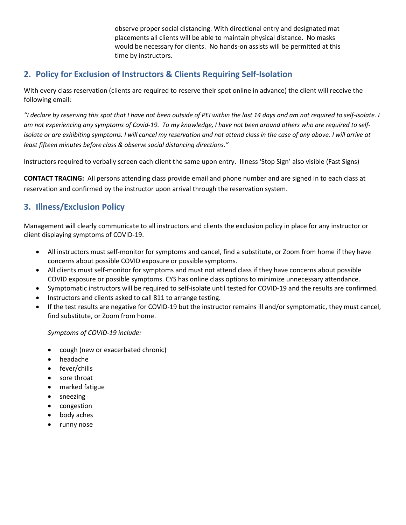| observe proper social distancing. With directional entry and designated mat   |
|-------------------------------------------------------------------------------|
| placements all clients will be able to maintain physical distance. No masks   |
| would be necessary for clients. No hands-on assists will be permitted at this |
| time by instructors.                                                          |

### **2. Policy for Exclusion of Instructors & Clients Requiring Self-Isolation**

With every class reservation (clients are required to reserve their spot online in advance) the client will receive the following email:

*"I declare by reserving this spot that I have not been outside of PEI within the last 14 days and am not required to self-isolate. I am not experiencing any symptoms of Covid-19. To my knowledge, I have not been around others who are required to selfisolate or are exhibiting symptoms. I will cancel my reservation and not attend class in the case of any above. I will arrive at least fifteen minutes before class & observe social distancing directions."*

Instructors required to verbally screen each client the same upon entry. Illness 'Stop Sign' also visible (Fast Signs)

**CONTACT TRACING:** All persons attending class provide email and phone number and are signed in to each class at reservation and confirmed by the instructor upon arrival through the reservation system.

## **3. Illness/Exclusion Policy**

Management will clearly communicate to all instructors and clients the exclusion policy in place for any instructor or client displaying symptoms of COVID-19.

- All instructors must self-monitor for symptoms and cancel, find a substitute, or Zoom from home if they have concerns about possible COVID exposure or possible symptoms.
- All clients must self-monitor for symptoms and must not attend class if they have concerns about possible COVID exposure or possible symptoms. CYS has online class options to minimize unnecessary attendance.
- Symptomatic instructors will be required to self-isolate until tested for COVID-19 and the results are confirmed.
- Instructors and clients asked to call 811 to arrange testing.
- If the test results are negative for COVID-19 but the instructor remains ill and/or symptomatic, they must cancel, find substitute, or Zoom from home.

#### *Symptoms of COVID-19 include:*

- cough (new or exacerbated chronic)
- headache
- fever/chills
- sore throat
- marked fatigue
- sneezing
- congestion
- body aches
- runny nose